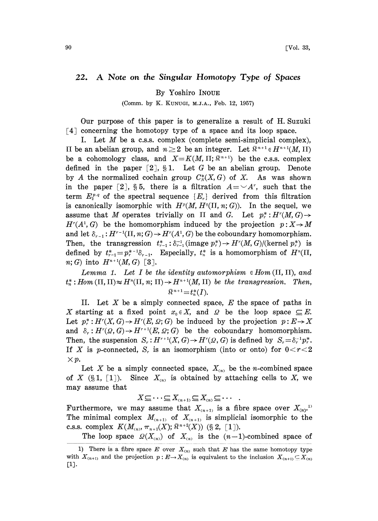## 22. A Note on the Singular Homotopy Type of Spaces

By Yoshiro INOUE

(Comm. by K. KUNUGI, M.J.A., Feb. 12, 1957)

Our purpose of this paper is to generalize a result of H. Suzuki [4] concerning the homotopy type of a space and its loop space.

I. Let  $M$  be a c.s.s. complex (complete semi-simplicial complex), H be an abelian group, and  $n \geq 2$  be an integer. Let  $\mathbb{R}^{n+1} \in H^{n+1}(M, H)$ be a cohomology class, and  $X=K(M,\Pi;\mathbb{R}^{n+1})$  be the c.s.s. complex defined in the paper  $[2]$ ,  $\S 1$ . Let G be an abelian group. Denote by A the normalized cochain group  $C^*_N(X, G)$  of X. As was shown in the paper [2], §5, there is a filtration  $A = \neg A^r$ , such that the term  $E_2^{p,q}$  of the spectral sequence  $\{E_r\}$  derived from this filtration is canonically isomorphic with  $H^p(M, H^q(\Pi, n; G))$ . In the sequel, we assume that M operates trivially on  $\Pi$  and G. Let  $p^*_r: H^r(M, G) \rightarrow$  $H^{r}(A^{1}, G)$  be the homomorphism induced by the projection  $p: X \rightarrow M$ and let  $\delta_{r-1}: H^{r-1}(\Pi, n; G) \to H^r(A^1, G)$  be the coboundary homomorphism. Then, the transgression  $t_{r-1}^* : \delta_{r-1}^{-1}$  (image  $p_r^* \rightarrow H^r(M, G)/(\text{kernel } p_r^*)$  is defined by  $t_{r-1}^* = p_r^{*-1}\delta_{r-1}$ . Especially,  $t_n^*$  is a homomorphism of  $H^n(\Pi, \mathbb{R})$  $n; G$  into  $H^{n+1}(M, G)$  [3].

Lemma 1. Let I be the identity automorphism  $\in$  Hom  $(\Pi, \Pi)$ , and  $t^*_n : Hom(\Pi, \Pi) \approx H^n(\Pi, n; \Pi) \rightarrow H^{n+1}(M, \Pi)$  be the transgression. Then,  $\mathbb{R}^{n+1} = t_n^*(I).$ 

II. Let  $X$  be a simply connected space,  $E$  the space of paths in X starting at a fixed point  $x_0 \in X$ , and  $\Omega$  be the loop space  $\subseteq E$ . Let  $p^*_r: H^r(X, G) \to H^r(E, \Omega; G)$  be induced by the projection  $p: E \to X$ and  $\delta_r: H^r(\mathcal{Q}, G) \to H^{r+1}(E, \mathcal{Q}; G)$  be the coboundary homomorphism. Then, the suspension  $S_r : H^{r+1}(X, G) \to H^r(\Omega, G)$  is defined by  $S_r = \delta_r^{-1} p_r^*$ . If X is p-connected,  $S_r$  is an isomorphism (into or onto) for  $0 < r < 2$  $\times p$ .

Let X be a simply connected space,  $X_{(n)}$  be the *n*-combined space of X (§1, [1]). Since  $X_{(n)}$  is obtained by attaching cells to X, we may assume that

 $X \subseteq \cdots \subseteq X_{(n+1)} \subseteq X_{(n)} \subseteq \cdots$ 

Furthermore, we may assume that  $X_{(n+1)}$  is a fibre space over  $X_{(n)}$ . The minimal complex  $M_{(n+1)}$  of  $X_{(n+1)}$  is simplicial isomorphic to the c.s.s. complex  $K(M_{(n)}, \pi_{n+1}(X); \mathbb{R}^{n+2}(X))$  (§ 2, [1]).

The loop space  $\mathcal{Q}(X_{(n)})$  of  $X_{(n)}$  is the  $(n-1)$ -combined space of

<sup>1)</sup> There is a fibre space E over  $X_{(n)}$  such that E has the same homotopy type with  $X_{(n+1)}$  and the projection  $p: E \to X_{(n)}$  is equivalent to the inclusion  $X_{(n+1)} \subseteq X_{(n)}$ [i].